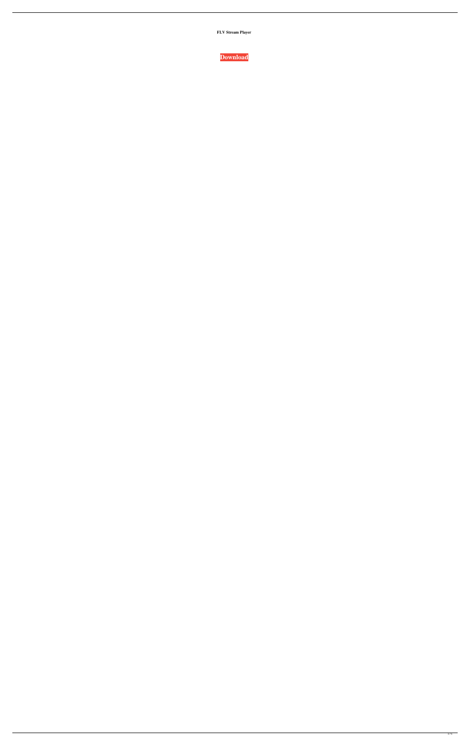**FLV Stream Player**

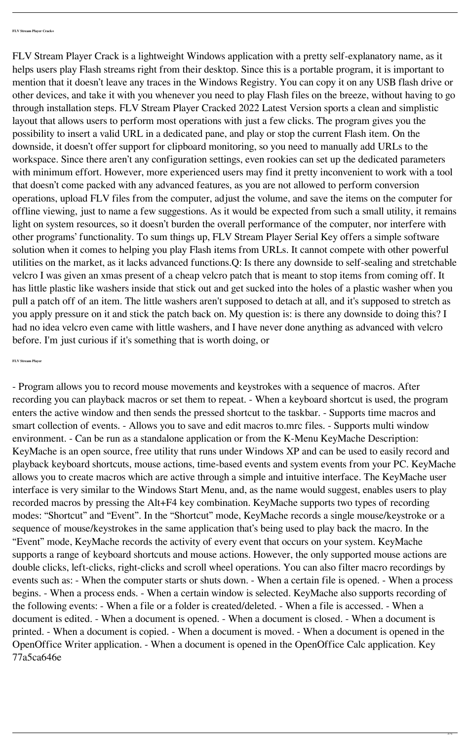FLV Stream Player Crack is a lightweight Windows application with a pretty self-explanatory name, as it helps users play Flash streams right from their desktop. Since this is a portable program, it is important to mention that it doesn't leave any traces in the Windows Registry. You can copy it on any USB flash drive or other devices, and take it with you whenever you need to play Flash files on the breeze, without having to go through installation steps. FLV Stream Player Cracked 2022 Latest Version sports a clean and simplistic layout that allows users to perform most operations with just a few clicks. The program gives you the possibility to insert a valid URL in a dedicated pane, and play or stop the current Flash item. On the downside, it doesn't offer support for clipboard monitoring, so you need to manually add URLs to the workspace. Since there aren't any configuration settings, even rookies can set up the dedicated parameters with minimum effort. However, more experienced users may find it pretty inconvenient to work with a tool that doesn't come packed with any advanced features, as you are not allowed to perform conversion operations, upload FLV files from the computer, adjust the volume, and save the items on the computer for offline viewing, just to name a few suggestions. As it would be expected from such a small utility, it remains light on system resources, so it doesn't burden the overall performance of the computer, nor interfere with other programs' functionality. To sum things up, FLV Stream Player Serial Key offers a simple software solution when it comes to helping you play Flash items from URLs. It cannot compete with other powerful utilities on the market, as it lacks advanced functions.Q: Is there any downside to self-sealing and stretchable velcro I was given an xmas present of a cheap velcro patch that is meant to stop items from coming off. It has little plastic like washers inside that stick out and get sucked into the holes of a plastic washer when you pull a patch off of an item. The little washers aren't supposed to detach at all, and it's supposed to stretch as you apply pressure on it and stick the patch back on. My question is: is there any downside to doing this? I had no idea velcro even came with little washers, and I have never done anything as advanced with velcro before. I'm just curious if it's something that is worth doing, or

## **FLV Stream Player**

- Program allows you to record mouse movements and keystrokes with a sequence of macros. After recording you can playback macros or set them to repeat. - When a keyboard shortcut is used, the program enters the active window and then sends the pressed shortcut to the taskbar. - Supports time macros and smart collection of events. - Allows you to save and edit macros to.mrc files. - Supports multi window environment. - Can be run as a standalone application or from the K-Menu KeyMache Description: KeyMache is an open source, free utility that runs under Windows XP and can be used to easily record and playback keyboard shortcuts, mouse actions, time-based events and system events from your PC. KeyMache allows you to create macros which are active through a simple and intuitive interface. The KeyMache user interface is very similar to the Windows Start Menu, and, as the name would suggest, enables users to play recorded macros by pressing the Alt+F4 key combination. KeyMache supports two types of recording modes: "Shortcut" and "Event". In the "Shortcut" mode, KeyMache records a single mouse/keystroke or a sequence of mouse/keystrokes in the same application that's being used to play back the macro. In the "Event" mode, KeyMache records the activity of every event that occurs on your system. KeyMache supports a range of keyboard shortcuts and mouse actions. However, the only supported mouse actions are double clicks, left-clicks, right-clicks and scroll wheel operations. You can also filter macro recordings by events such as: - When the computer starts or shuts down. - When a certain file is opened. - When a process begins. - When a process ends. - When a certain window is selected. KeyMache also supports recording of the following events: - When a file or a folder is created/deleted. - When a file is accessed. - When a document is edited. - When a document is opened. - When a document is closed. - When a document is printed. - When a document is copied. - When a document is moved. - When a document is opened in the OpenOffice Writer application. - When a document is opened in the OpenOffice Calc application. Key 77a5ca646e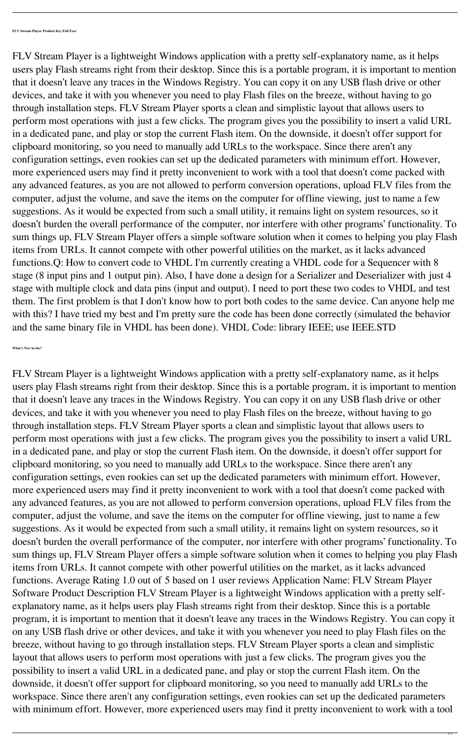FLV Stream Player is a lightweight Windows application with a pretty self-explanatory name, as it helps users play Flash streams right from their desktop. Since this is a portable program, it is important to mention that it doesn't leave any traces in the Windows Registry. You can copy it on any USB flash drive or other devices, and take it with you whenever you need to play Flash files on the breeze, without having to go through installation steps. FLV Stream Player sports a clean and simplistic layout that allows users to perform most operations with just a few clicks. The program gives you the possibility to insert a valid URL in a dedicated pane, and play or stop the current Flash item. On the downside, it doesn't offer support for clipboard monitoring, so you need to manually add URLs to the workspace. Since there aren't any configuration settings, even rookies can set up the dedicated parameters with minimum effort. However, more experienced users may find it pretty inconvenient to work with a tool that doesn't come packed with any advanced features, as you are not allowed to perform conversion operations, upload FLV files from the computer, adjust the volume, and save the items on the computer for offline viewing, just to name a few suggestions. As it would be expected from such a small utility, it remains light on system resources, so it doesn't burden the overall performance of the computer, nor interfere with other programs' functionality. To sum things up, FLV Stream Player offers a simple software solution when it comes to helping you play Flash items from URLs. It cannot compete with other powerful utilities on the market, as it lacks advanced functions. Average Rating 1.0 out of 5 based on 1 user reviews Application Name: FLV Stream Player Software Product Description FLV Stream Player is a lightweight Windows application with a pretty selfexplanatory name, as it helps users play Flash streams right from their desktop. Since this is a portable program, it is important to mention that it doesn't leave any traces in the Windows Registry. You can copy it on any USB flash drive or other devices, and take it with you whenever you need to play Flash files on the breeze, without having to go through installation steps. FLV Stream Player sports a clean and simplistic layout that allows users to perform most operations with just a few clicks. The program gives you the possibility to insert a valid URL in a dedicated pane, and play or stop the current Flash item. On the downside, it doesn't offer support for clipboard monitoring, so you need to manually add URLs to the workspace. Since there aren't any configuration settings, even rookies can set up the dedicated parameters with minimum effort. However, more experienced users may find it pretty inconvenient to work with a tool

FLV Stream Player is a lightweight Windows application with a pretty self-explanatory name, as it helps users play Flash streams right from their desktop. Since this is a portable program, it is important to mention that it doesn't leave any traces in the Windows Registry. You can copy it on any USB flash drive or other devices, and take it with you whenever you need to play Flash files on the breeze, without having to go through installation steps. FLV Stream Player sports a clean and simplistic layout that allows users to perform most operations with just a few clicks. The program gives you the possibility to insert a valid URL in a dedicated pane, and play or stop the current Flash item. On the downside, it doesn't offer support for clipboard monitoring, so you need to manually add URLs to the workspace. Since there aren't any configuration settings, even rookies can set up the dedicated parameters with minimum effort. However, more experienced users may find it pretty inconvenient to work with a tool that doesn't come packed with any advanced features, as you are not allowed to perform conversion operations, upload FLV files from the computer, adjust the volume, and save the items on the computer for offline viewing, just to name a few suggestions. As it would be expected from such a small utility, it remains light on system resources, so it doesn't burden the overall performance of the computer, nor interfere with other programs' functionality. To sum things up, FLV Stream Player offers a simple software solution when it comes to helping you play Flash items from URLs. It cannot compete with other powerful utilities on the market, as it lacks advanced functions.Q: How to convert code to VHDL I'm currently creating a VHDL code for a Sequencer with 8 stage (8 input pins and 1 output pin). Also, I have done a design for a Serializer and Deserializer with just 4 stage with multiple clock and data pins (input and output). I need to port these two codes to VHDL and test them. The first problem is that I don't know how to port both codes to the same device. Can anyone help me with this? I have tried my best and I'm pretty sure the code has been done correctly (simulated the behavior and the same binary file in VHDL has been done). VHDL Code: library IEEE; use IEEE.STD

**What's New in the?**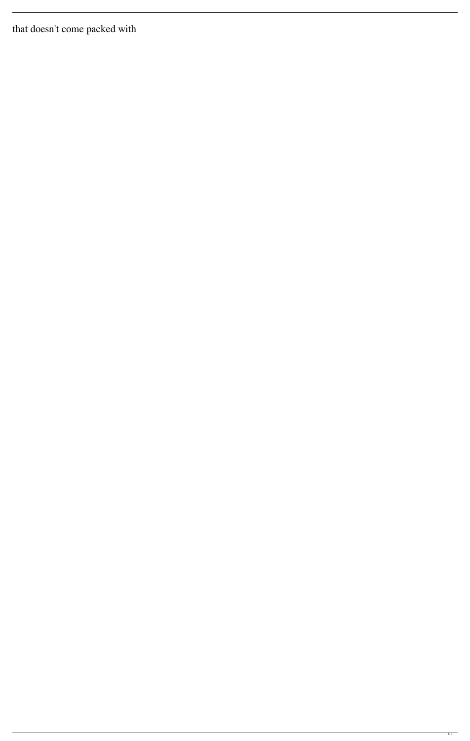that doesn't come packed with